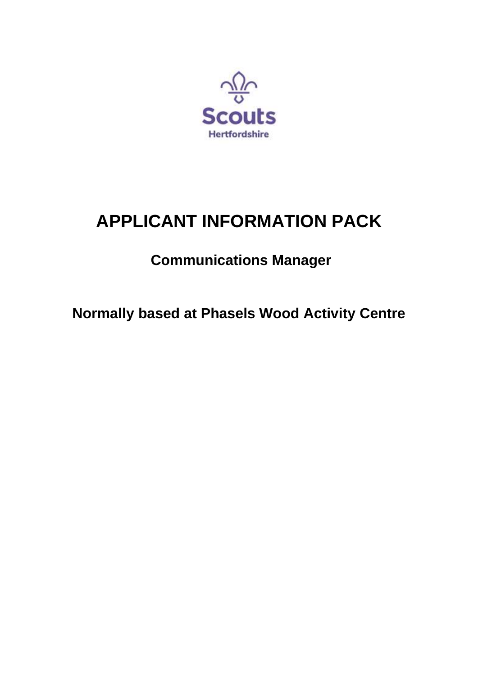

# **APPLICANT INFORMATION PACK**

## **Communications Manager**

**Normally based at Phasels Wood Activity Centre**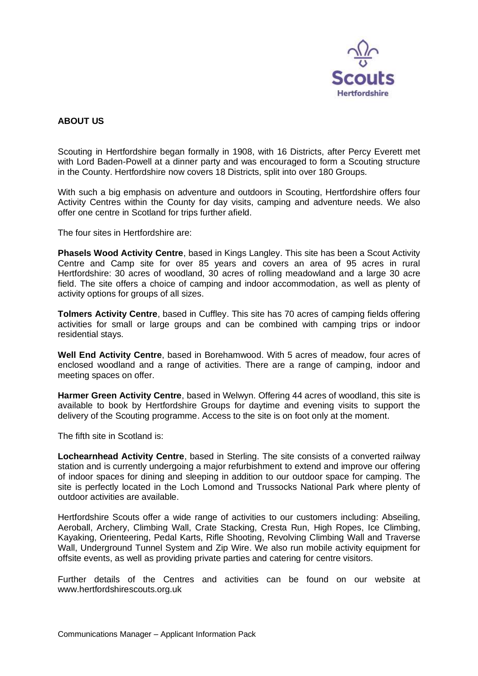

#### **ABOUT US**

Scouting in Hertfordshire began formally in 1908, with 16 Districts, after Percy Everett met with Lord Baden-Powell at a dinner party and was encouraged to form a Scouting structure in the County. Hertfordshire now covers 18 Districts, split into over 180 Groups.

With such a big emphasis on adventure and outdoors in Scouting, Hertfordshire offers four Activity Centres within the County for day visits, camping and adventure needs. We also offer one centre in Scotland for trips further afield.

The four sites in Hertfordshire are:

**Phasels Wood Activity Centre**, based in Kings Langley. This site has been a Scout Activity Centre and Camp site for over 85 years and covers an area of 95 acres in rural Hertfordshire: 30 acres of woodland, 30 acres of rolling meadowland and a large 30 acre field. The site offers a choice of camping and indoor accommodation, as well as plenty of activity options for groups of all sizes.

**Tolmers Activity Centre**, based in Cuffley. This site has 70 acres of camping fields offering activities for small or large groups and can be combined with camping trips or indoor residential stays.

**Well End Activity Centre**, based in Borehamwood. With 5 acres of meadow, four acres of enclosed woodland and a range of activities. There are a range of camping, indoor and meeting spaces on offer.

**Harmer Green Activity Centre**, based in Welwyn. Offering 44 acres of woodland, this site is available to book by Hertfordshire Groups for daytime and evening visits to support the delivery of the Scouting programme. Access to the site is on foot only at the moment.

The fifth site in Scotland is:

**Lochearnhead Activity Centre**, based in Sterling. The site consists of a converted railway station and is currently undergoing a major refurbishment to extend and improve our offering of indoor spaces for dining and sleeping in addition to our outdoor space for camping. The site is perfectly located in the Loch Lomond and Trussocks National Park where plenty of outdoor activities are available.

Hertfordshire Scouts offer a wide range of activities to our customers including: Abseiling, Aeroball, Archery, Climbing Wall, Crate Stacking, Cresta Run, High Ropes, Ice Climbing, Kayaking, Orienteering, Pedal Karts, Rifle Shooting, Revolving Climbing Wall and Traverse Wall, Underground Tunnel System and Zip Wire. We also run mobile activity equipment for offsite events, as well as providing private parties and catering for centre visitors.

Further details of the Centres and activities can be found on our website at www.hertfordshirescouts.org.uk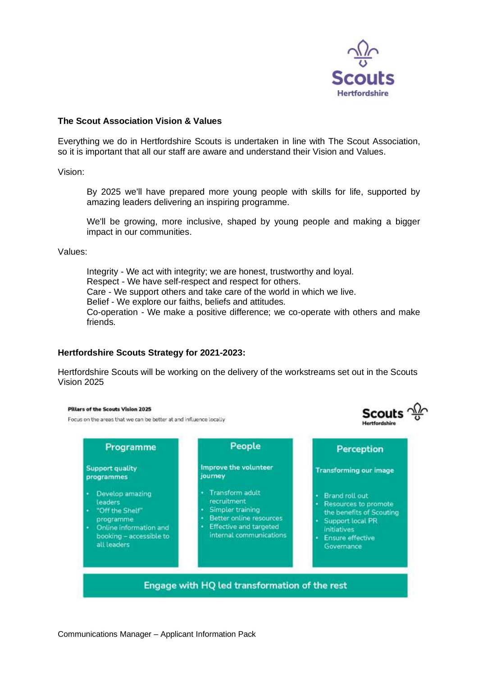

Scouts  $\frac{\sqrt{3}}{10}$ 

Linguide and a high

#### **The Scout Association Vision & Values**

Everything we do in Hertfordshire Scouts is undertaken in line with The Scout Association, so it is important that all our staff are aware and understand their Vision and Values.

Vision:

By 2025 we'll have prepared more young people with skills for life, supported by amazing leaders delivering an inspiring programme.

We'll be growing, more inclusive, shaped by young people and making a bigger impact in our communities.

Values:

Integrity - We act with integrity; we are honest, trustworthy and loyal. Respect - We have self-respect and respect for others. Care - We support others and take care of the world in which we live. Belief - We explore our faiths, beliefs and attitudes. Co-operation - We make a positive difference; we co-operate with others and make friends.

#### **Hertfordshire Scouts Strategy for 2021-2023:**

Hertfordshire Scouts will be working on the delivery of the workstreams set out in the Scouts Vision 2025

#### Pillars of the Scouts Vision 2025

Focus on the areas that we can be better at and influence locally

| Programme                                                                                                                                | People                                                                                                                             | Perception                                                                                                                                       |
|------------------------------------------------------------------------------------------------------------------------------------------|------------------------------------------------------------------------------------------------------------------------------------|--------------------------------------------------------------------------------------------------------------------------------------------------|
| <b>Support quality</b><br>programmes                                                                                                     | Improve the volunteer<br>journey                                                                                                   | <b>Transforming our image</b>                                                                                                                    |
| Develop amazing<br>leaders<br>"Off the Shelf"<br>٠<br>programme<br>Online information and<br>٠<br>booking - accessible to<br>all leaders | Transform adult<br>recruitment<br>Simpler training<br>Better online resources<br>Effective and targeted<br>internal communications | · Brand roll out<br>Resources to promote<br>the benefits of Scouting<br>Support local PR<br><b>Initiatives</b><br>Ensure effective<br>Governance |
|                                                                                                                                          | Engage with HQ led transformation of the rest                                                                                      |                                                                                                                                                  |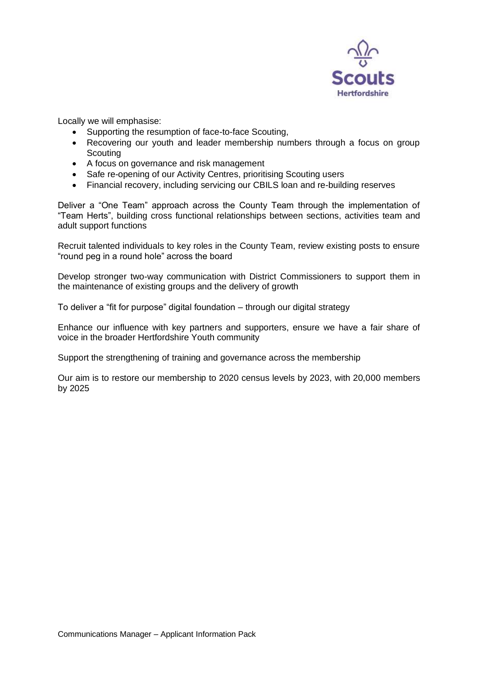

Locally we will emphasise:

- Supporting the resumption of face-to-face Scouting,
- Recovering our youth and leader membership numbers through a focus on group **Scouting**
- A focus on governance and risk management
- Safe re-opening of our Activity Centres, prioritising Scouting users
- Financial recovery, including servicing our CBILS loan and re-building reserves

Deliver a "One Team" approach across the County Team through the implementation of "Team Herts", building cross functional relationships between sections, activities team and adult support functions

Recruit talented individuals to key roles in the County Team, review existing posts to ensure "round peg in a round hole" across the board

Develop stronger two-way communication with District Commissioners to support them in the maintenance of existing groups and the delivery of growth

To deliver a "fit for purpose" digital foundation – through our digital strategy

Enhance our influence with key partners and supporters, ensure we have a fair share of voice in the broader Hertfordshire Youth community

Support the strengthening of training and governance across the membership

Our aim is to restore our membership to 2020 census levels by 2023, with 20,000 members by 2025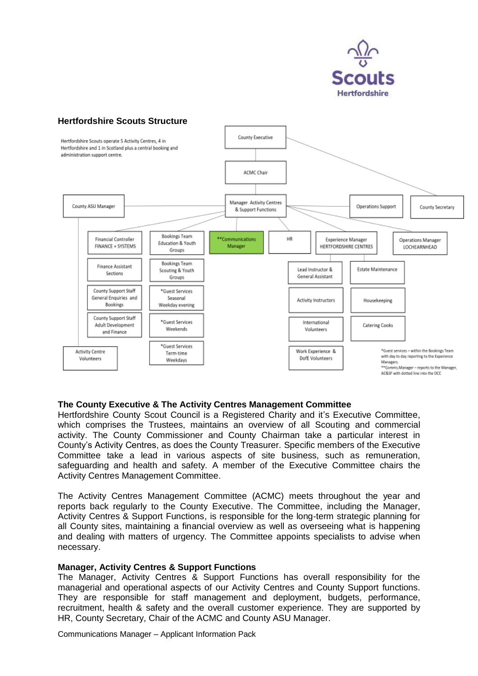

#### **Hertfordshire Scouts Structure**



#### **The County Executive & The Activity Centres Management Committee**

Hertfordshire County Scout Council is a Registered Charity and it's Executive Committee, which comprises the Trustees, maintains an overview of all Scouting and commercial activity. The County Commissioner and County Chairman take a particular interest in County's Activity Centres, as does the County Treasurer. Specific members of the Executive Committee take a lead in various aspects of site business, such as remuneration, safeguarding and health and safety. A member of the Executive Committee chairs the Activity Centres Management Committee.

The Activity Centres Management Committee (ACMC) meets throughout the year and reports back regularly to the County Executive. The Committee, including the Manager, Activity Centres & Support Functions, is responsible for the long-term strategic planning for all County sites, maintaining a financial overview as well as overseeing what is happening and dealing with matters of urgency. The Committee appoints specialists to advise when necessary.

#### **Manager, Activity Centres & Support Functions**

The Manager, Activity Centres & Support Functions has overall responsibility for the managerial and operational aspects of our Activity Centres and County Support functions. They are responsible for staff management and deployment, budgets, performance, recruitment, health & safety and the overall customer experience. They are supported by HR, County Secretary, Chair of the ACMC and County ASU Manager.

Communications Manager – Applicant Information Pack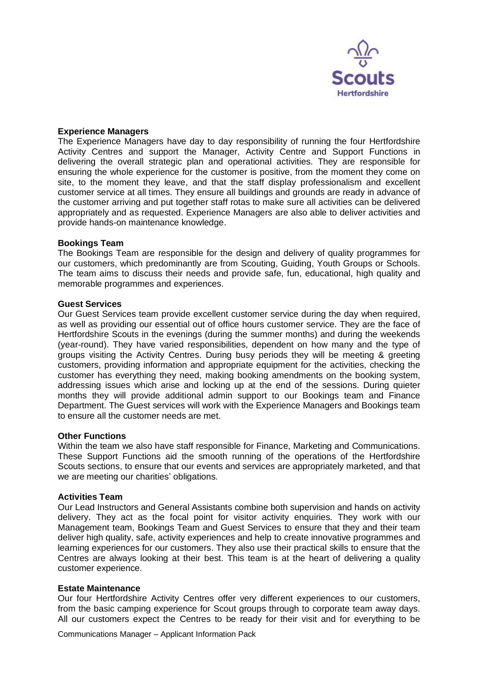

#### **Experience Managers**

The Experience Managers have day to day responsibility of running the four Hertfordshire Activity Centres and support the Manager, Activity Centre and Support Functions in delivering the overall strategic plan and operational activities. They are responsible for ensuring the whole experience for the customer is positive, from the moment they come on site, to the moment they leave, and that the staff display professionalism and excellent customer service at all times. They ensure all buildings and grounds are ready in advance of the customer arriving and put together staff rotas to make sure all activities can be delivered appropriately and as requested. Experience Managers are also able to deliver activities and provide hands-on maintenance knowledge.

#### **Bookings Team**

The Bookings Team are responsible for the design and delivery of quality programmes for our customers, which predominantly are from Scouting, Guiding, Youth Groups or Schools. The team aims to discuss their needs and provide safe, fun, educational, high quality and memorable programmes and experiences.

#### **Guest Services**

Our Guest Services team provide excellent customer service during the day when required, as well as providing our essential out of office hours customer service. They are the face of Hertfordshire Scouts in the evenings (during the summer months) and during the weekends (year-round). They have varied responsibilities, dependent on how many and the type of groups visiting the Activity Centres. During busy periods they will be meeting & greeting customers, providing information and appropriate equipment for the activities, checking the customer has everything they need, making booking amendments on the booking system, addressing issues which arise and locking up at the end of the sessions. During quieter months they will provide additional admin support to our Bookings team and Finance Department. The Guest services will work with the Experience Managers and Bookings team to ensure all the customer needs are met.

#### **Other Functions**

Within the team we also have staff responsible for Finance, Marketing and Communications. These Support Functions aid the smooth running of the operations of the Hertfordshire Scouts sections, to ensure that our events and services are appropriately marketed, and that we are meeting our charities' obligations.

#### **Activities Team**

Our Lead Instructors and General Assistants combine both supervision and hands on activity delivery. They act as the focal point for visitor activity enquiries. They work with our Management team, Bookings Team and Guest Services to ensure that they and their team deliver high quality, safe, activity experiences and help to create innovative programmes and learning experiences for our customers. They also use their practical skills to ensure that the Centres are always looking at their best. This team is at the heart of delivering a quality customer experience.

#### **Estate Maintenance**

Our four Hertfordshire Activity Centres offer very different experiences to our customers, from the basic camping experience for Scout groups through to corporate team away days. All our customers expect the Centres to be ready for their visit and for everything to be

Communications Manager – Applicant Information Pack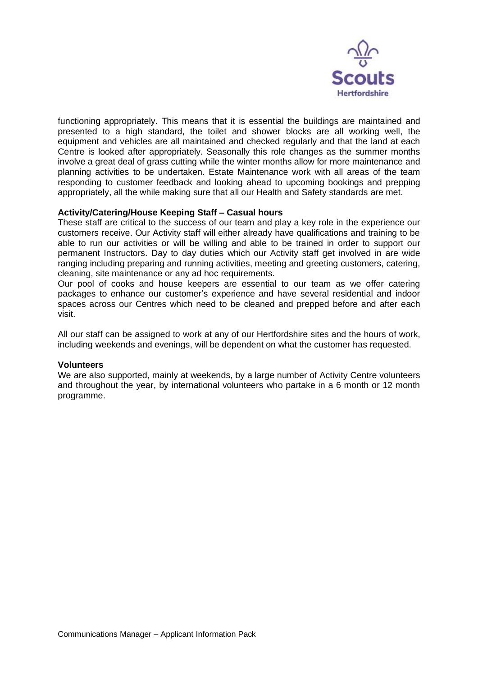

functioning appropriately. This means that it is essential the buildings are maintained and presented to a high standard, the toilet and shower blocks are all working well, the equipment and vehicles are all maintained and checked regularly and that the land at each Centre is looked after appropriately. Seasonally this role changes as the summer months involve a great deal of grass cutting while the winter months allow for more maintenance and planning activities to be undertaken. Estate Maintenance work with all areas of the team responding to customer feedback and looking ahead to upcoming bookings and prepping appropriately, all the while making sure that all our Health and Safety standards are met.

#### **Activity/Catering/House Keeping Staff – Casual hours**

These staff are critical to the success of our team and play a key role in the experience our customers receive. Our Activity staff will either already have qualifications and training to be able to run our activities or will be willing and able to be trained in order to support our permanent Instructors. Day to day duties which our Activity staff get involved in are wide ranging including preparing and running activities, meeting and greeting customers, catering, cleaning, site maintenance or any ad hoc requirements.

Our pool of cooks and house keepers are essential to our team as we offer catering packages to enhance our customer's experience and have several residential and indoor spaces across our Centres which need to be cleaned and prepped before and after each visit.

All our staff can be assigned to work at any of our Hertfordshire sites and the hours of work, including weekends and evenings, will be dependent on what the customer has requested.

#### **Volunteers**

We are also supported, mainly at weekends, by a large number of Activity Centre volunteers and throughout the year, by international volunteers who partake in a 6 month or 12 month programme.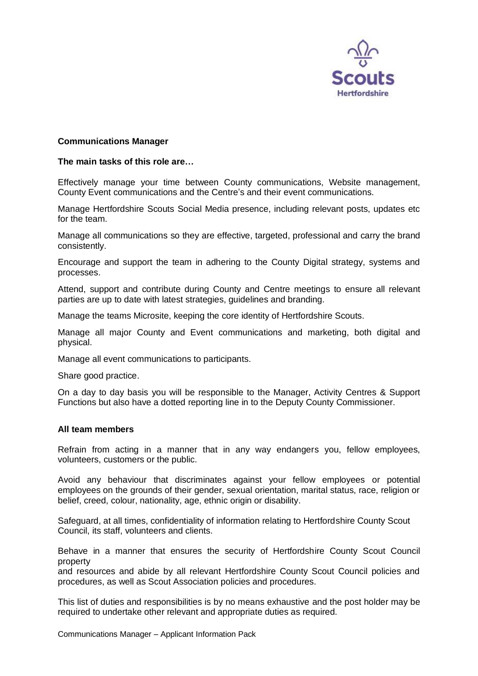

#### **Communications Manager**

#### **The main tasks of this role are…**

Effectively manage your time between County communications, Website management, County Event communications and the Centre's and their event communications.

Manage Hertfordshire Scouts Social Media presence, including relevant posts, updates etc for the team.

Manage all communications so they are effective, targeted, professional and carry the brand consistently.

Encourage and support the team in adhering to the County Digital strategy, systems and processes.

Attend, support and contribute during County and Centre meetings to ensure all relevant parties are up to date with latest strategies, guidelines and branding.

Manage the teams Microsite, keeping the core identity of Hertfordshire Scouts.

Manage all major County and Event communications and marketing, both digital and physical.

Manage all event communications to participants.

Share good practice.

On a day to day basis you will be responsible to the Manager, Activity Centres & Support Functions but also have a dotted reporting line in to the Deputy County Commissioner.

#### **All team members**

Refrain from acting in a manner that in any way endangers you, fellow employees, volunteers, customers or the public.

Avoid any behaviour that discriminates against your fellow employees or potential employees on the grounds of their gender, sexual orientation, marital status, race, religion or belief, creed, colour, nationality, age, ethnic origin or disability.

Safeguard, at all times, confidentiality of information relating to Hertfordshire County Scout Council, its staff, volunteers and clients.

Behave in a manner that ensures the security of Hertfordshire County Scout Council property

and resources and abide by all relevant Hertfordshire County Scout Council policies and procedures, as well as Scout Association policies and procedures.

This list of duties and responsibilities is by no means exhaustive and the post holder may be required to undertake other relevant and appropriate duties as required.

Communications Manager – Applicant Information Pack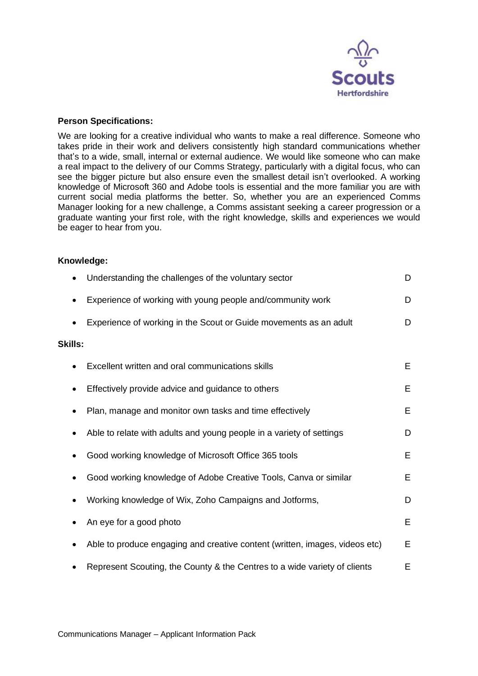

#### **Person Specifications:**

We are looking for a creative individual who wants to make a real difference. Someone who takes pride in their work and delivers consistently high standard communications whether that's to a wide, small, internal or external audience. We would like someone who can make a real impact to the delivery of our Comms Strategy, particularly with a digital focus, who can see the bigger picture but also ensure even the smallest detail isn't overlooked. A working knowledge of Microsoft 360 and Adobe tools is essential and the more familiar you are with current social media platforms the better. So, whether you are an experienced Comms Manager looking for a new challenge, a Comms assistant seeking a career progression or a graduate wanting your first role, with the right knowledge, skills and experiences we would be eager to hear from you.

#### **Knowledge:**

|                | Understanding the challenges of the voluntary sector                        | D |
|----------------|-----------------------------------------------------------------------------|---|
|                | Experience of working with young people and/community work                  | D |
|                | Experience of working in the Scout or Guide movements as an adult           | D |
| <b>Skills:</b> |                                                                             |   |
|                | Excellent written and oral communications skills                            | E |
| $\bullet$      | Effectively provide advice and guidance to others                           | E |
|                | Plan, manage and monitor own tasks and time effectively                     | Е |
|                | Able to relate with adults and young people in a variety of settings        | D |
|                | Good working knowledge of Microsoft Office 365 tools                        | Е |
|                | Good working knowledge of Adobe Creative Tools, Canva or similar            | Е |
|                | Working knowledge of Wix, Zoho Campaigns and Jotforms,                      | D |
|                | An eye for a good photo                                                     | E |
|                | Able to produce engaging and creative content (written, images, videos etc) | Е |
|                | Represent Scouting, the County & the Centres to a wide variety of clients   | Е |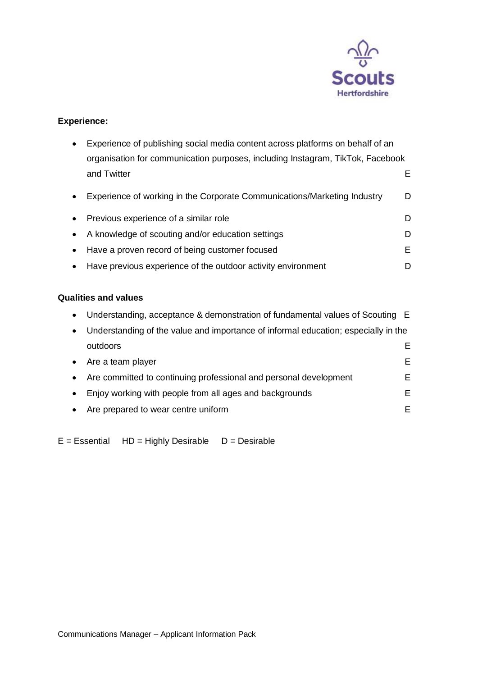

## **Experience:**

|           | Experience of publishing social media content across platforms on behalf of an<br>organisation for communication purposes, including Instagram, TikTok, Facebook |    |  |
|-----------|------------------------------------------------------------------------------------------------------------------------------------------------------------------|----|--|
|           |                                                                                                                                                                  |    |  |
|           | and Twitter                                                                                                                                                      | E. |  |
|           | Experience of working in the Corporate Communications/Marketing Industry                                                                                         | D  |  |
| $\bullet$ | Previous experience of a similar role                                                                                                                            | D. |  |
| $\bullet$ | A knowledge of scouting and/or education settings                                                                                                                | D. |  |
|           | Have a proven record of being customer focused                                                                                                                   | F. |  |
|           | Have previous experience of the outdoor activity environment                                                                                                     | D  |  |

## **Qualities and values**

| $\bullet$ | Understanding, acceptance & demonstration of fundamental values of Scouting E      |    |
|-----------|------------------------------------------------------------------------------------|----|
| $\bullet$ | Understanding of the value and importance of informal education; especially in the |    |
|           | outdoors                                                                           | F. |
| $\bullet$ | Are a team player                                                                  | E. |
| $\bullet$ | Are committed to continuing professional and personal development                  | E. |
|           | Enjoy working with people from all ages and backgrounds                            | E. |
| $\bullet$ | Are prepared to wear centre uniform                                                | E. |

 $E = E$ ssential HD = Highly Desirable D = Desirable